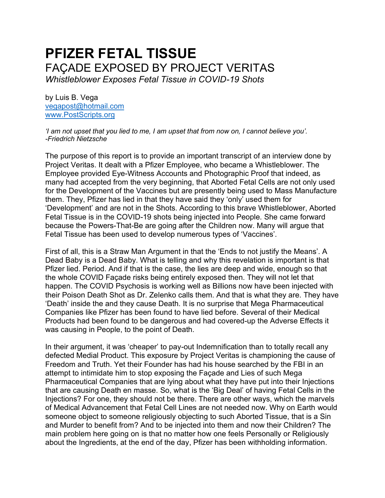# **PFIZER FETAL TISSUE**  FAÇADE EXPOSED BY PROJECT VERITAS *Whistleblower Exposes Fetal Tissue in COVID-19 Shots*

by Luis B. Vega [vegapost@hotmail.com](mailto:vegapost@hotmail.com) [www.PostScripts.org](http://www.postscripts.org/)

*'I am not upset that you lied to me, I am upset that from now on, I cannot believe you'. -Friedrich Nietzsche*

The purpose of this report is to provide an important transcript of an interview done by Project Veritas. It dealt with a Pfizer Employee, who became a Whistleblower. The Employee provided Eye-Witness Accounts and Photographic Proof that indeed, as many had accepted from the very beginning, that Aborted Fetal Cells are not only used for the Development of the Vaccines but are presently being used to Mass Manufacture them. They, Pfizer has lied in that they have said they 'only' used them for 'Development' and are not in the Shots. According to this brave Whistleblower, Aborted Fetal Tissue is in the COVID-19 shots being injected into People. She came forward because the Powers-That-Be are going after the Children now. Many will argue that Fetal Tissue has been used to develop numerous types of 'Vaccines'.

First of all, this is a Straw Man Argument in that the 'Ends to not justify the Means'. A Dead Baby is a Dead Baby. What is telling and why this revelation is important is that Pfizer lied. Period. And if that is the case, the lies are deep and wide, enough so that the whole COVID Façade risks being entirely exposed then. They will not let that happen. The COVID Psychosis is working well as Billions now have been injected with their Poison Death Shot as Dr. Zelenko calls them. And that is what they are. They have 'Death' inside the and they cause Death. It is no surprise that Mega Pharmaceutical Companies like Pfizer has been found to have lied before. Several of their Medical Products had been found to be dangerous and had covered-up the Adverse Effects it was causing in People, to the point of Death.

In their argument, it was 'cheaper' to pay-out Indemnification than to totally recall any defected Medial Product. This exposure by Project Veritas is championing the cause of Freedom and Truth. Yet their Founder has had his house searched by the FBI in an attempt to intimidate him to stop exposing the Façade and Lies of such Mega Pharmaceutical Companies that are lying about what they have put into their Injections that are causing Death en masse. So, what is the 'Big Deal' of having Fetal Cells in the Injections? For one, they should not be there. There are other ways, which the marvels of Medical Advancement that Fetal Cell Lines are not needed now. Why on Earth would someone object to someone religiously objecting to such Aborted Tissue, that is a Sin and Murder to benefit from? And to be injected into them and now their Children? The main problem here going on is that no matter how one feels Personally or Religiously about the Ingredients, at the end of the day, Pfizer has been withholding information.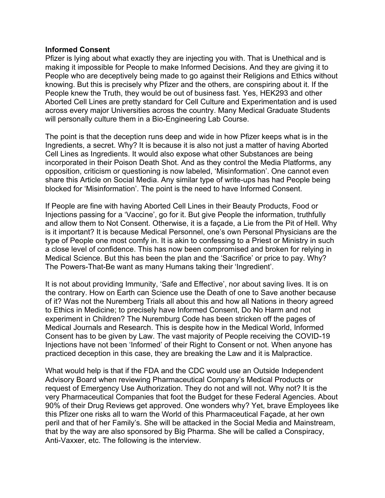### **Informed Consent**

Pfizer is lying about what exactly they are injecting you with. That is Unethical and is making it impossible for People to make Informed Decisions. And they are giving it to People who are deceptively being made to go against their Religions and Ethics without knowing. But this is precisely why Pfizer and the others, are conspiring about it. If the People knew the Truth, they would be out of business fast. Yes, HEK293 and other Aborted Cell Lines are pretty standard for Cell Culture and Experimentation and is used across every major Universities across the country. Many Medical Graduate Students will personally culture them in a Bio-Engineering Lab Course.

The point is that the deception runs deep and wide in how Pfizer keeps what is in the Ingredients, a secret. Why? It is because it is also not just a matter of having Aborted Cell Lines as Ingredients. It would also expose what other Substances are being incorporated in their Poison Death Shot. And as they control the Media Platforms, any opposition, criticism or questioning is now labeled, 'Misinformation'. One cannot even share this Article on Social Media. Any similar type of write-ups has had People being blocked for 'Misinformation'. The point is the need to have Informed Consent.

If People are fine with having Aborted Cell Lines in their Beauty Products, Food or Injections passing for a 'Vaccine', go for it. But give People the information, truthfully and allow them to Not Consent. Otherwise, it is a façade, a Lie from the Pit of Hell. Why is it important? It is because Medical Personnel, one's own Personal Physicians are the type of People one most comfy in. It is akin to confessing to a Priest or Ministry in such a close level of confidence. This has now been compromised and broken for relying in Medical Science. But this has been the plan and the 'Sacrifice' or price to pay. Why? The Powers-That-Be want as many Humans taking their 'Ingredient'.

It is not about providing Immunity, 'Safe and Effective', nor about saving lives. It is on the contrary. How on Earth can Science use the Death of one to Save another because of it? Was not the Nuremberg Trials all about this and how all Nations in theory agreed to Ethics in Medicine; to precisely have Informed Consent, Do No Harm and not experiment in Children? The Nuremburg Code has been stricken off the pages of Medical Journals and Research. This is despite how in the Medical World, Informed Consent has to be given by Law. The vast majority of People receiving the COVID-19 Injections have not been 'Informed' of their Right to Consent or not. When anyone has practiced deception in this case, they are breaking the Law and it is Malpractice.

What would help is that if the FDA and the CDC would use an Outside Independent Advisory Board when reviewing Pharmaceutical Company's Medical Products or request of Emergency Use Authorization. They do not and will not. Why not? It is the very Pharmaceutical Companies that foot the Budget for these Federal Agencies. About 90% of their Drug Reviews get approved. One wonders why? Yet, brave Employees like this Pfizer one risks all to warn the World of this Pharmaceutical Façade, at her own peril and that of her Family's. She will be attacked in the Social Media and Mainstream, that by the way are also sponsored by Big Pharma. She will be called a Conspiracy, Anti-Vaxxer, etc. The following is the interview.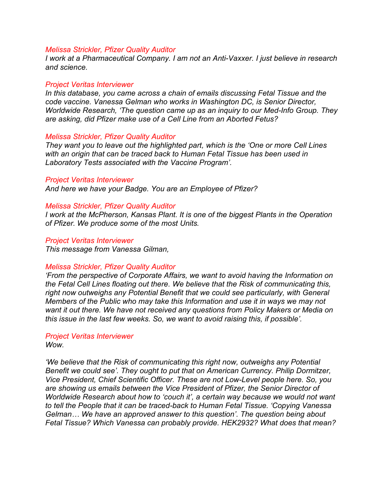*I work at a Pharmaceutical Company. I am not an Anti-Vaxxer. I just believe in research and science.* 

### *Project Veritas Interviewer*

*In this database, you came across a chain of emails discussing Fetal Tissue and the code vaccine. Vanessa Gelman who works in Washington DC, is Senior Director, Worldwide Research, 'The question came up as an inquiry to our Med-Info Group. They are asking, did Pfizer make use of a Cell Line from an Aborted Fetus?*

### *Melissa Strickler, Pfizer Quality Auditor*

*They want you to leave out the highlighted part, which is the 'One or more Cell Lines with an origin that can be traced back to Human Fetal Tissue has been used in Laboratory Tests associated with the Vaccine Program'.* 

#### *Project Veritas Interviewer*

*And here we have your Badge. You are an Employee of Pfizer?* 

### *Melissa Strickler, Pfizer Quality Auditor*

*I work at the McPherson, Kansas Plant. It is one of the biggest Plants in the Operation of Pfizer. We produce some of the most Units.*

#### *Project Veritas Interviewer*

*This message from Vanessa Gilman,*

#### *Melissa Strickler, Pfizer Quality Auditor*

*'From the perspective of Corporate Affairs, we want to avoid having the Information on the Fetal Cell Lines floating out there. We believe that the Risk of communicating this, right now outweighs any Potential Benefit that we could see particularly, with General Members of the Public who may take this Information and use it in ways we may not want it out there. We have not received any questions from Policy Makers or Media on this issue in the last few weeks. So, we want to avoid raising this, if possible'.*

### *Project Veritas Interviewer*

*Wow.*

*'We believe that the Risk of communicating this right now, outweighs any Potential Benefit we could see'. They ought to put that on American Currency. Philip Dormitzer, Vice President, Chief Scientific Officer. These are not Low-Level people here. So, you are showing us emails between the Vice President of Pfizer, the Senior Director of Worldwide Research about how to 'couch it', a certain way because we would not want to tell the People that it can be traced-back to Human Fetal Tissue. 'Copying Vanessa Gelman… We have an approved answer to this question'. The question being about Fetal Tissue? Which Vanessa can probably provide. HEK2932? What does that mean?*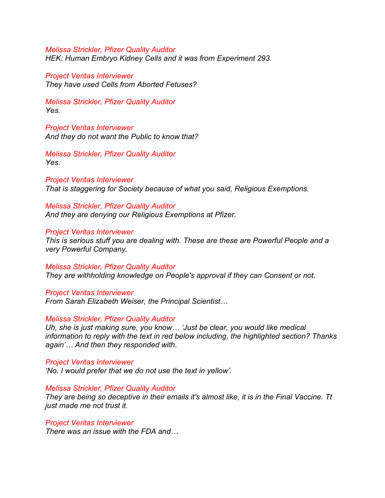*Melissa Strickler, Pfizer Quality Auditor HEK: Human Embryo Kidney Cells and it was from Experiment 293.* 

*Project Veritas Interviewer They have used Cells from Aborted Fetuses?*

*Melissa Strickler, Pfizer Quality Auditor Yes.* 

*Project Veritas Interviewer And they do not want the Public to know that?*

*Melissa Strickler, Pfizer Quality Auditor Yes.*

*Project Veritas Interviewer That is staggering for Society because of what you said, Religious Exemptions.*

*Melissa Strickler, Pfizer Quality Auditor And they are denying our Religious Exemptions at Pfizer.*

### *Project Veritas Interviewer*

*This is serious stuff you are dealing with. These are these are Powerful People and a very Powerful Company.* 

*Melissa Strickler, Pfizer Quality Auditor They are withholding knowledge on People's approval if they can Consent or not.* 

*Project Veritas Interviewer From Sarah Elizabeth Weiser, the Principal Scientist…*

*Melissa Strickler, Pfizer Quality Auditor*

*Uh, she is just making sure, you know… 'Just be clear, you would like medical information to reply with the text in red below including, the highlighted section? Thanks again'… And then they responded with.*

*Project Veritas Interviewer 'No. I would prefer that we do not use the text in yellow'.*

### *Melissa Strickler, Pfizer Quality Auditor*

*They are being so deceptive in their emails it's almost like, it is in the Final Vaccine. Tt just made me not trust it.*

*Project Veritas Interviewer*

*There was an issue with the FDA and…*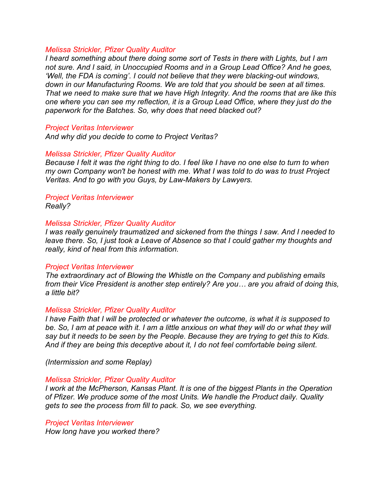*I heard something about there doing some sort of Tests in there with Lights, but I am not sure. And I said, in Unoccupied Rooms and in a Group Lead Office? And he goes, 'Well, the FDA is coming'. I could not believe that they were blacking-out windows, down in our Manufacturing Rooms. We are told that you should be seen at all times. That we need to make sure that we have High Integrity. And the rooms that are like this one where you can see my reflection, it is a Group Lead Office, where they just do the paperwork for the Batches. So, why does that need blacked out?* 

### *Project Veritas Interviewer*

*And why did you decide to come to Project Veritas?*

### *Melissa Strickler, Pfizer Quality Auditor*

*Because I felt it was the right thing to do. I feel like I have no one else to turn to when my own Company won't be honest with me. What I was told to do was to trust Project Veritas. And to go with you Guys, by Law-Makers by Lawyers.* 

#### *Project Veritas Interviewer Really?*

### *Melissa Strickler, Pfizer Quality Auditor*

*I was really genuinely traumatized and sickened from the things I saw. And I needed to leave there. So, I just took a Leave of Absence so that I could gather my thoughts and really, kind of heal from this information.*

#### *Project Veritas Interviewer*

*The extraordinary act of Blowing the Whistle on the Company and publishing emails from their Vice President is another step entirely? Are you… are you afraid of doing this, a little bit?*

#### *Melissa Strickler, Pfizer Quality Auditor*

*I have Faith that I will be protected or whatever the outcome, is what it is supposed to be. So, I am at peace with it. I am a little anxious on what they will do or what they will say but it needs to be seen by the People. Because they are trying to get this to Kids. And if they are being this deceptive about it, I do not feel comfortable being silent.*

*(Intermission and some Replay)*

#### *Melissa Strickler, Pfizer Quality Auditor*

*I work at the McPherson, Kansas Plant. It is one of the biggest Plants in the Operation of Pfizer. We produce some of the most Units. We handle the Product daily. Quality gets to see the process from fill to pack. So, we see everything.*

#### *Project Veritas Interviewer*

*How long have you worked there?*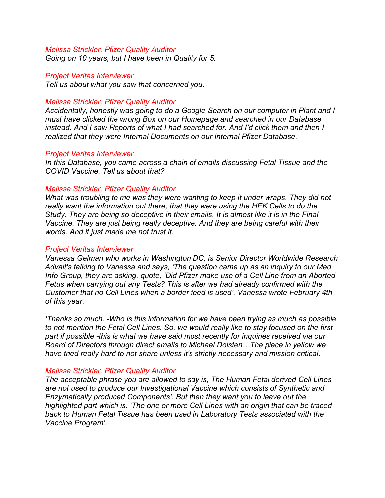*Going on 10 years, but I have been in Quality for 5.*

#### *Project Veritas Interviewer*

*Tell us about what you saw that concerned you.*

### *Melissa Strickler, Pfizer Quality Auditor*

*Accidentally, honestly was going to do a Google Search on our computer in Plant and I must have clicked the wrong Box on our Homepage and searched in our Database instead. And I saw Reports of what I had searched for. And I'd click them and then I realized that they were Internal Documents on our Internal Pfizer Database.* 

### *Project Veritas Interviewer*

*In this Database, you came across a chain of emails discussing Fetal Tissue and the COVID Vaccine. Tell us about that?*

### *Melissa Strickler, Pfizer Quality Auditor*

*What was troubling to me was they were wanting to keep it under wraps. They did not really want the information out there, that they were using the HEK Cells to do the Study. They are being so deceptive in their emails. It is almost like it is in the Final Vaccine. They are just being really deceptive. And they are being careful with their words. And it just made me not trust it.*

#### *Project Veritas Interviewer*

*Vanessa Gelman who works in Washington DC, is Senior Director Worldwide Research Advait's talking to Vanessa and says, 'The question came up as an inquiry to our Med Info Group, they are asking, quote, 'Did Pfizer make use of a Cell Line from an Aborted Fetus when carrying out any Tests? This is after we had already confirmed with the Customer that no Cell Lines when a border feed is used'. Vanessa wrote February 4th of this year.*

*'Thanks so much. -Who is this information for we have been trying as much as possible to not mention the Fetal Cell Lines. So, we would really like to stay focused on the first part if possible -this is what we have said most recently for inquiries received via our Board of Directors through direct emails to Michael Dolsten…The piece in yellow we have tried really hard to not share unless it's strictly necessary and mission critical.*

### *Melissa Strickler, Pfizer Quality Auditor*

*The acceptable phrase you are allowed to say is, The Human Fetal derived Cell Lines are not used to produce our Investigational Vaccine which consists of Synthetic and Enzymatically produced Components'. But then they want you to leave out the highlighted part which is. 'The one or more Cell Lines with an origin that can be traced back to Human Fetal Tissue has been used in Laboratory Tests associated with the Vaccine Program'.*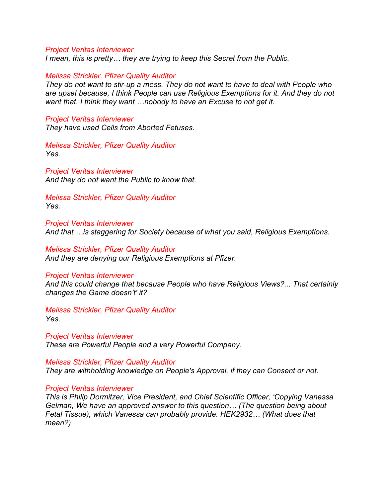*I mean, this is pretty… they are trying to keep this Secret from the Public.* 

### *Melissa Strickler, Pfizer Quality Auditor*

*They do not want to stir-up a mess. They do not want to have to deal with People who are upset because, I think People can use Religious Exemptions for it. And they do not want that. I think they want …nobody to have an Excuse to not get it.* 

### *Project Veritas Interviewer*

*They have used Cells from Aborted Fetuses.* 

*Melissa Strickler, Pfizer Quality Auditor Yes.* 

*Project Veritas Interviewer And they do not want the Public to know that.* 

*Melissa Strickler, Pfizer Quality Auditor Yes.*

*Project Veritas Interviewer And that …is staggering for Society because of what you said, Religious Exemptions.* 

*Melissa Strickler, Pfizer Quality Auditor And they are denying our Religious Exemptions at Pfizer.* 

#### *Project Veritas Interviewer*

*And this could change that because People who have Religious Views?... That certainly changes the Game doesn't' it?* 

*Melissa Strickler, Pfizer Quality Auditor Yes.*

*Project Veritas Interviewer These are Powerful People and a very Powerful Company.* 

*Melissa Strickler, Pfizer Quality Auditor They are withholding knowledge on People's Approval, if they can Consent or not.*

#### *Project Veritas Interviewer*

*This is Philip Dormitzer, Vice President, and Chief Scientific Officer, 'Copying Vanessa Gelman, We have an approved answer to this question… (The question being about Fetal Tissue), which Vanessa can probably provide. HEK2932… (What does that mean?)*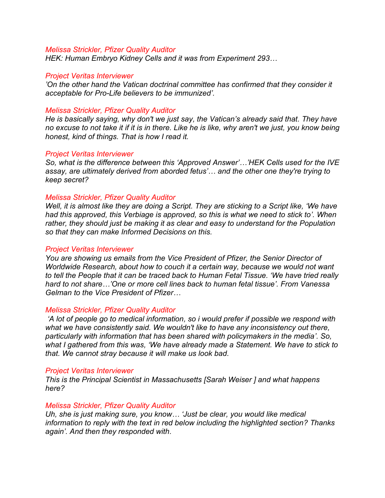*HEK: Human Embryo Kidney Cells and it was from Experiment 293…*

### *Project Veritas Interviewer*

*'On the other hand the Vatican doctrinal committee has confirmed that they consider it acceptable for Pro-Life believers to be immunized'.*

### *Melissa Strickler, Pfizer Quality Auditor*

*He is basically saying, why don't we just say, the Vatican's already said that. They have no excuse to not take it if it is in there. Like he is like, why aren't we just, you know being honest, kind of things. That is how I read it.*

### *Project Veritas Interviewer*

*So, what is the difference between this 'Approved Answer'…'HEK Cells used for the IVE assay, are ultimately derived from aborded fetus'… and the other one they're trying to keep secret?*

### *Melissa Strickler, Pfizer Quality Auditor*

*Well, it is almost like they are doing a Script. They are sticking to a Script like, 'We have had this approved, this Verbiage is approved, so this is what we need to stick to'. When rather, they should just be making it as clear and easy to understand for the Population so that they can make Informed Decisions on this.*

### *Project Veritas Interviewer*

*You are showing us emails from the Vice President of Pfizer, the Senior Director of Worldwide Research, about how to couch it a certain way, because we would not want to tell the People that it can be traced back to Human Fetal Tissue. 'We have tried really hard to not share…'One or more cell lines back to human fetal tissue'. From Vanessa Gelman to the Vice President of Pfizer…* 

### *Melissa Strickler, Pfizer Quality Auditor*

*'A lot of people go to medical information, so i would prefer if possible we respond with what we have consistently said. We wouldn't like to have any inconsistency out there, particularly with information that has been shared with policymakers in the media'. So, what I gathered from this was, 'We have already made a Statement. We have to stick to that. We cannot stray because it will make us look bad.* 

### *Project Veritas Interviewer*

*This is the Principal Scientist in Massachusetts [Sarah Weiser ] and what happens here?*

### *Melissa Strickler, Pfizer Quality Auditor*

*Uh, she is just making sure, you know… 'Just be clear, you would like medical information to reply with the text in red below including the highlighted section? Thanks again'. And then they responded with.*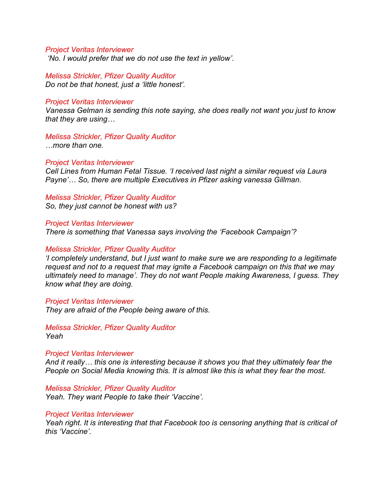*'No. I would prefer that we do not use the text in yellow'.* 

*Melissa Strickler, Pfizer Quality Auditor Do not be that honest, just a 'little honest'.*

#### *Project Veritas Interviewer*

*Vanessa Gelman is sending this note saying, she does really not want you just to know that they are using…*

### *Melissa Strickler, Pfizer Quality Auditor*

*…more than one.*

#### *Project Veritas Interviewer*

*Cell Lines from Human Fetal Tissue. 'I received last night a similar request via Laura Payne'… So, there are multiple Executives in Pfizer asking vanessa Gillman.*

#### *Melissa Strickler, Pfizer Quality Auditor So, they just cannot be honest with us?*

*Project Veritas Interviewer*

*There is something that Vanessa says involving the 'Facebook Campaign'?* 

#### *Melissa Strickler, Pfizer Quality Auditor*

*'I completely understand, but I just want to make sure we are responding to a legitimate request and not to a request that may ignite a Facebook campaign on this that we may ultimately need to manage'. They do not want People making Awareness, I guess. They know what they are doing.*

#### *Project Veritas Interviewer*

*They are afraid of the People being aware of this.*

*Melissa Strickler, Pfizer Quality Auditor Yeah*

#### *Project Veritas Interviewer*

*And it really… this one is interesting because it shows you that they ultimately fear the People on Social Media knowing this. It is almost like this is what they fear the most.*

*Melissa Strickler, Pfizer Quality Auditor Yeah. They want People to take their 'Vaccine'.* 

#### *Project Veritas Interviewer*

*Yeah right. It is interesting that that Facebook too is censoring anything that is critical of this 'Vaccine'.*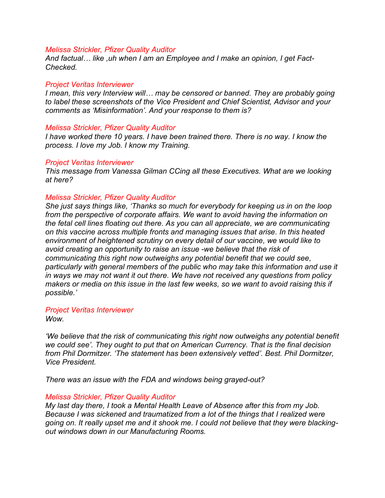*And factual… like ,uh when I am an Employee and I make an opinion, I get Fact-Checked.* 

### *Project Veritas Interviewer*

*I mean, this very Interview will… may be censored or banned. They are probably going to label these screenshots of the Vice President and Chief Scientist, Advisor and your comments as 'Misinformation'. And your response to them is?*

### *Melissa Strickler, Pfizer Quality Auditor*

*I have worked there 10 years. I have been trained there. There is no way. I know the process. I love my Job. I know my Training.*

### *Project Veritas Interviewer*

*This message from Vanessa Gilman CCing all these Executives. What are we looking at here?*

### *Melissa Strickler, Pfizer Quality Auditor*

*She just says things like, 'Thanks so much for everybody for keeping us in on the loop from the perspective of corporate affairs. We want to avoid having the information on the fetal cell lines floating out there. As you can all appreciate, we are communicating on this vaccine across multiple fronts and managing issues that arise. In this heated environment of heightened scrutiny on every detail of our vaccine, we would like to avoid creating an opportunity to raise an issue -we believe that the risk of communicating this right now outweighs any potential benefit that we could see, particularly with general members of the public who may take this information and use it in ways we may not want it out there. We have not received any questions from policy makers or media on this issue in the last few weeks, so we want to avoid raising this if possible.'*

### *Project Veritas Interviewer*

*Wow.*

*'We believe that the risk of communicating this right now outweighs any potential benefit we could see'. They ought to put that on American Currency. That is the final decision from Phil Dormitzer. 'The statement has been extensively vetted'. Best. Phil Dormitzer, Vice President.*

*There was an issue with the FDA and windows being grayed-out?*

### *Melissa Strickler, Pfizer Quality Auditor*

*My last day there, I took a Mental Health Leave of Absence after this from my Job. Because I was sickened and traumatized from a lot of the things that I realized were going on. It really upset me and it shook me. I could not believe that they were blackingout windows down in our Manufacturing Rooms.*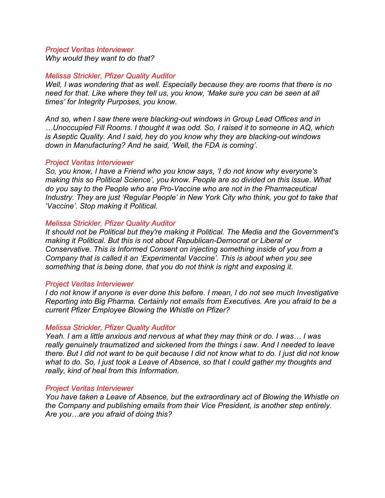*Why would they want to do that?*

### *Melissa Strickler, Pfizer Quality Auditor*

*Well, I was wondering that as well. Especially because they are rooms that there is no need for that. Like where they tell us, you know, 'Make sure you can be seen at all times' for Integrity Purposes, you know.* 

*And so, when I saw there were blacking-out windows in Group Lead Offices and in …Unoccupied Fill Rooms. I thought it was odd. So, I raised it to someone in AQ, which is Aseptic Quality. And I said, hey do you know why they are blacking-out windows down in Manufacturing? And he said, 'Well, the FDA is coming'.*

### *Project Veritas Interviewer*

*So, you know, I have a Friend who you know says, 'I do not know why everyone's making this so Political Science', you know. People are so divided on this issue. What do you say to the People who are Pro-Vaccine who are not in the Pharmaceutical Industry. They are just 'Regular People' in New York City who think, you got to take that 'Vaccine'. Stop making it Political.*

### *Melissa Strickler, Pfizer Quality Auditor*

*It should not be Political but they're making it Political. The Media and the Government's making it Political. But this is not about Republican-Democrat or Liberal or Conservative. This is Informed Consent on injecting something inside of you from a Company that is called it an 'Experimental Vaccine'. This is about when you see something that is being done, that you do not think is right and exposing it.* 

### *Project Veritas Interviewer*

*I do not know if anyone is ever done this before. I mean, I do not see much Investigative Reporting into Big Pharma. Certainly not emails from Executives. Are you afraid to be a current Pfizer Employee Blowing the Whistle on Pfizer?*

### *Melissa Strickler, Pfizer Quality Auditor*

*Yeah. I am a little anxious and nervous at what they may think or do. I was… I was really genuinely traumatized and sickened from the things i saw. And I needed to leave there. But I did not want to be quit because I did not know what to do. I just did not know what to do. So, I just took a Leave of Absence, so that I could gather my thoughts and really, kind of heal from this Information.*

### *Project Veritas Interviewer*

*You have taken a Leave of Absence, but the extraordinary act of Blowing the Whistle on the Company and publishing emails from their Vice President, is another step entirely. Are you…are you afraid of doing this?*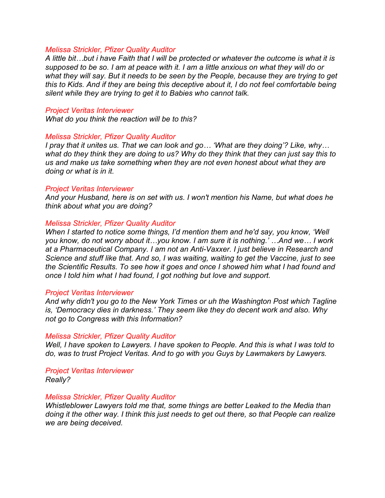*A little bit…but i have Faith that I will be protected or whatever the outcome is what it is supposed to be so. I am at peace with it. I am a little anxious on what they will do or what they will say. But it needs to be seen by the People, because they are trying to get this to Kids. And if they are being this deceptive about it, I do not feel comfortable being silent while they are trying to get it to Babies who cannot talk.*

#### *Project Veritas Interviewer*

*What do you think the reaction will be to this?*

### *Melissa Strickler, Pfizer Quality Auditor*

*I pray that it unites us. That we can look and go… 'What are they doing'? Like, why… what do they think they are doing to us? Why do they think that they can just say this to us and make us take something when they are not even honest about what they are doing or what is in it.*

#### *Project Veritas Interviewer*

*And your Husband, here is on set with us. I won't mention his Name, but what does he think about what you are doing?*

### *Melissa Strickler, Pfizer Quality Auditor*

*When I started to notice some things, I'd mention them and he'd say, you know, 'Well you know, do not worry about it…you know. I am sure it is nothing.' …And we… I work at a Pharmaceutical Company. I am not an Anti-Vaxxer. I just believe in Research and Science and stuff like that. And so, I was waiting, waiting to get the Vaccine, just to see the Scientific Results. To see how it goes and once I showed him what I had found and once I told him what I had found, I got nothing but love and support.*

#### *Project Veritas Interviewer*

*And why didn't you go to the New York Times or uh the Washington Post which Tagline is, 'Democracy dies in darkness.' They seem like they do decent work and also. Why not go to Congress with this Information?* 

#### *Melissa Strickler, Pfizer Quality Auditor*

*Well, I have spoken to Lawyers. I have spoken to People. And this is what I was told to do, was to trust Project Veritas. And to go with you Guys by Lawmakers by Lawyers.* 

*Project Veritas Interviewer*

*Really?*

### *Melissa Strickler, Pfizer Quality Auditor*

*Whistleblower Lawyers told me that, some things are better Leaked to the Media than doing it the other way. I think this just needs to get out there, so that People can realize we are being deceived.*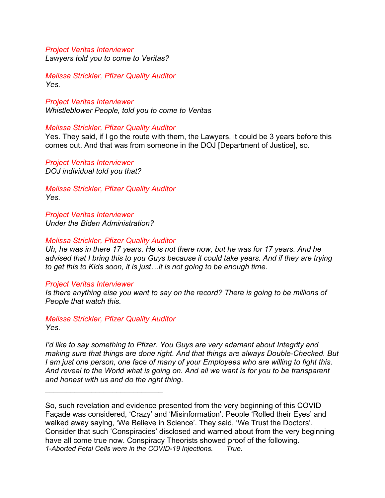*Lawyers told you to come to Veritas?*

*Melissa Strickler, Pfizer Quality Auditor Yes.*

*Project Veritas Interviewer Whistleblower People, told you to come to Veritas* 

### *Melissa Strickler, Pfizer Quality Auditor*

Yes. They said, if I go the route with them, the Lawyers, it could be 3 years before this comes out. And that was from someone in the DOJ [Department of Justice], so.

*Project Veritas Interviewer DOJ individual told you that?*

*Melissa Strickler, Pfizer Quality Auditor Yes.*

*Project Veritas Interviewer Under the Biden Administration?*

### *Melissa Strickler, Pfizer Quality Auditor*

*Uh, he was in there 17 years. He is not there now, but he was for 17 years. And he advised that I bring this to you Guys because it could take years. And if they are trying to get this to Kids soon, it is just…it is not going to be enough time.*

#### *Project Veritas Interviewer*

*Is there anything else you want to say on the record? There is going to be millions of People that watch this.*

*Melissa Strickler, Pfizer Quality Auditor Yes.*

 $\mathcal{L}_\text{max}$  , where  $\mathcal{L}_\text{max}$  and  $\mathcal{L}_\text{max}$  and  $\mathcal{L}_\text{max}$ 

*I'd like to say something to Pfizer. You Guys are very adamant about Integrity and making sure that things are done right. And that things are always Double-Checked. But I am just one person, one face of many of your Employees who are willing to fight this. And reveal to the World what is going on. And all we want is for you to be transparent and honest with us and do the right thing.*

So, such revelation and evidence presented from the very beginning of this COVID Façade was considered, 'Crazy' and 'Misinformation'. People 'Rolled their Eyes' and walked away saying, 'We Believe in Science'. They said, 'We Trust the Doctors'. Consider that such 'Conspiracies' disclosed and warned about from the very beginning have all come true now. Conspiracy Theorists showed proof of the following. *1-Aborted Fetal Cells were in the COVID-19 Injections. True.*